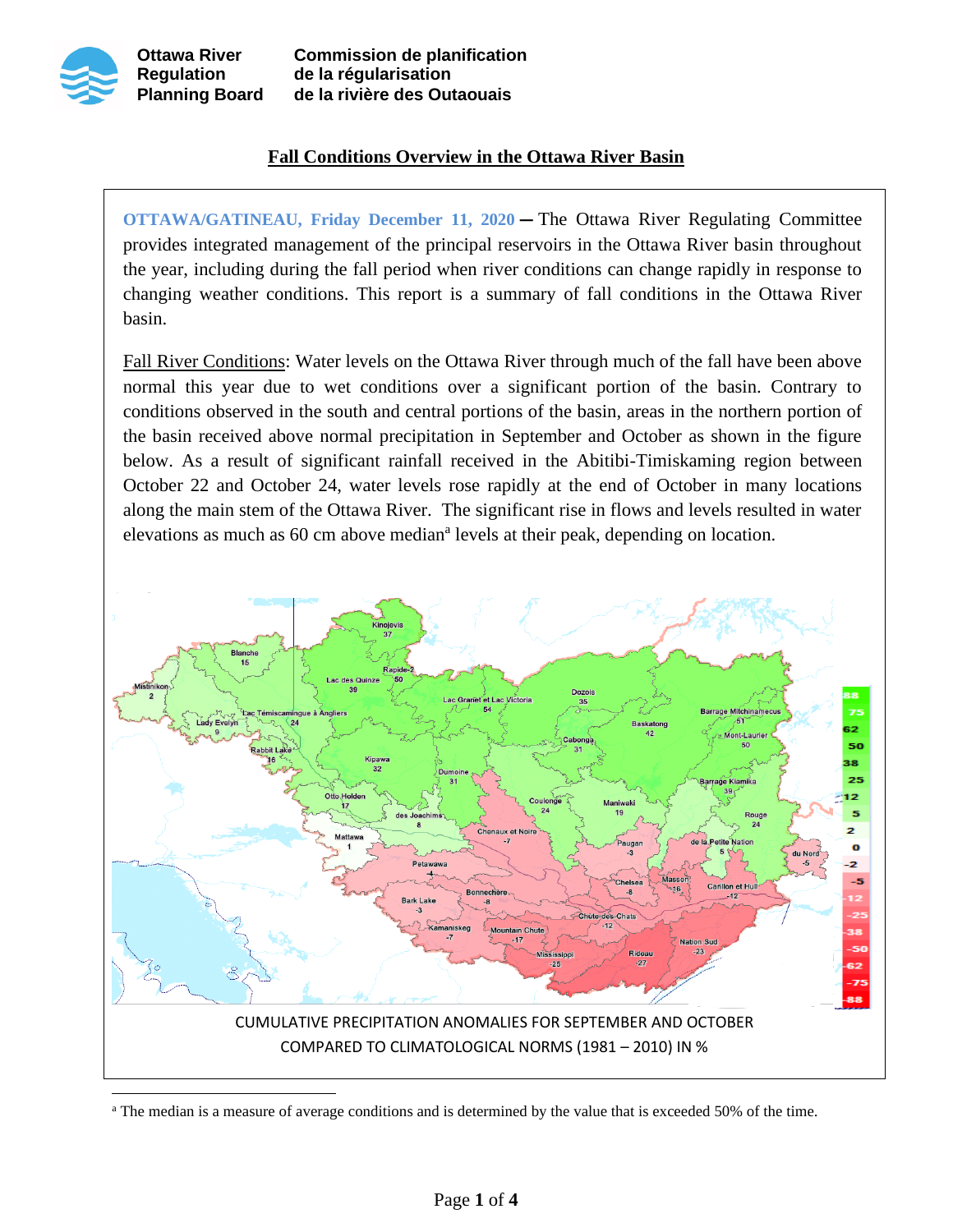

## **Fall Conditions Overview in the Ottawa River Basin**

**OTTAWA/GATINEAU, Friday December 11, 2020 —** The Ottawa River Regulating Committee provides integrated management of the principal reservoirs in the Ottawa River basin throughout the year, including during the fall period when river conditions can change rapidly in response to changing weather conditions. This report is a summary of fall conditions in the Ottawa River basin.

Fall River Conditions: Water levels on the Ottawa River through much of the fall have been above normal this year due to wet conditions over a significant portion of the basin. Contrary to conditions observed in the south and central portions of the basin, areas in the northern portion of the basin received above normal precipitation in September and October as shown in the figure below. As a result of significant rainfall received in the Abitibi-Timiskaming region between October 22 and October 24, water levels rose rapidly at the end of October in many locations along the main stem of the Ottawa River. The significant rise in flows and levels resulted in water elevations as much as 60 cm above median<sup>a</sup> levels at their peak, depending on location.



<sup>&</sup>lt;sup>a</sup> The median is a measure of average conditions and is determined by the value that is exceeded 50% of the time.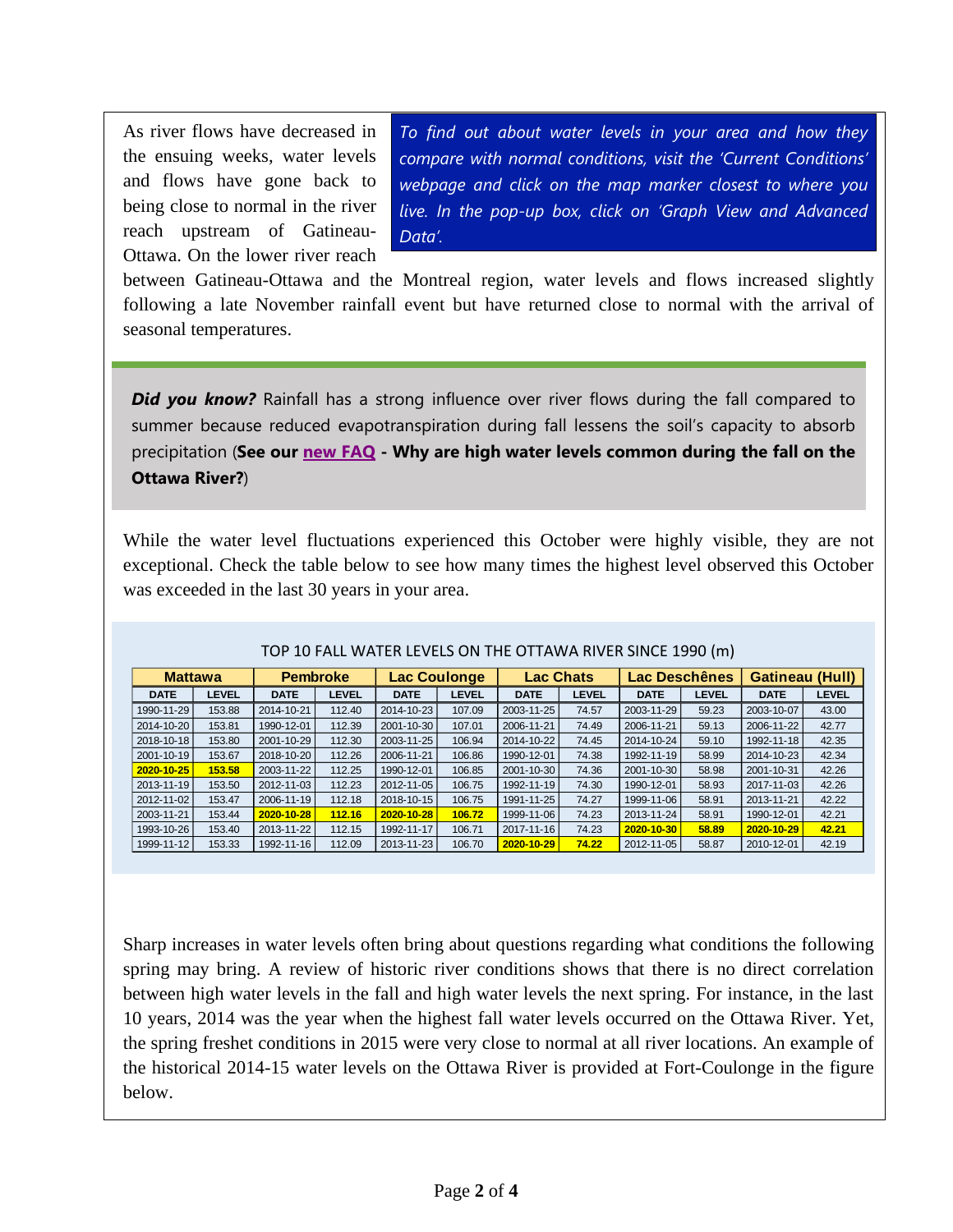As river flows have decreased in the ensuing weeks, water levels and flows have gone back to being close to normal in the river reach upstream of Gatineau-Ottawa. On the lower river reach

*To find out about water levels in your area and how they compare with normal conditions, visit the 'Current Conditions' webpage and click on the map marker closest to where you live. In the pop-up box, click on 'Graph View and Advanced Data'.*

between Gatineau-Ottawa and the Montreal region, water levels and flows increased slightly following a late November rainfall event but have returned close to normal with the arrival of seasonal temperatures.

**Did you know?** Rainfall has a strong influence over river flows during the fall compared to summer because reduced evapotranspiration during fall lessens the soil's capacity to absorb precipitation (**See our [new FAQ](http://ottawariver.ca/information/frequently-asked-questions/) - Why are high water levels common during the fall on the Ottawa River?**)

While the water level fluctuations experienced this October were highly visible, they are not exceptional. Check the table below to see how many times the highest level observed this October was exceeded in the last 30 years in your area.

| <b>Mattawa</b> |              | <b>Pembroke</b> |        | Lac Coulonge |              | <b>Lac Chats</b> |              | Lac Deschênes |              | <b>Gatineau (Hull)</b> |              |
|----------------|--------------|-----------------|--------|--------------|--------------|------------------|--------------|---------------|--------------|------------------------|--------------|
| <b>DATE</b>    | <b>LEVEL</b> | <b>DATE</b>     | LEVEL  | <b>DATE</b>  | <b>LEVEL</b> | <b>DATE</b>      | <b>LEVEL</b> | <b>DATE</b>   | <b>LEVEL</b> | <b>DATE</b>            | <b>LEVEL</b> |
| 1990-11-29     | 153.88       | 2014-10-21      | 112.40 | 2014-10-23   | 107.09       | 2003-11-25       | 74.57        | 2003-11-29    | 59.23        | 2003-10-07             | 43.00        |
| 2014-10-20     | 153.81       | 1990-12-01      | 112.39 | 2001-10-30   | 107.01       | 2006-11-21       | 74.49        | 2006-11-21    | 59.13        | 2006-11-22             | 42.77        |
| 2018-10-18     | 153.80       | 2001-10-29      | 112.30 | 2003-11-25   | 106.94       | 2014-10-22       | 74.45        | 2014-10-24    | 59.10        | 1992-11-18             | 42.35        |
| 2001-10-19     | 153.67       | 2018-10-20      | 112.26 | 2006-11-21   | 106.86       | 1990-12-01       | 74.38        | 1992-11-19    | 58.99        | 2014-10-23             | 42.34        |
| 2020-10-25     | 153.58       | 2003-11-22      | 112.25 | 1990-12-01   | 106.85       | 2001-10-30       | 74.36        | 2001-10-30    | 58.98        | 2001-10-31             | 42.26        |
| 2013-11-19     | 153.50       | 2012-11-03      | 112.23 | 2012-11-05   | 106.75       | 1992-11-19       | 74.30        | 1990-12-01    | 58.93        | 2017-11-03             | 42.26        |
| 2012-11-02     | 153.47       | 2006-11-19      | 112.18 | 2018-10-15   | 106.75       | 1991-11-25       | 74.27        | 1999-11-06    | 58.91        | 2013-11-21             | 42.22        |
| 2003-11-21     | 153.44       | 2020-10-28      | 112.16 | 2020-10-28   | 106.72       | 1999-11-06       | 74.23        | 2013-11-24    | 58.91        | 1990-12-01             | 42.21        |
| 1993-10-26     | 153.40       | 2013-11-22      | 112.15 | 1992-11-17   | 106.71       | 2017-11-16       | 74.23        | 2020-10-30    | 58.89        | 2020-10-29             | 42.21        |
| 1999-11-12     | 153.33       | 1992-11-16      | 112.09 | 2013-11-23   | 106.70       | 2020-10-29       | 74.22        | 2012-11-05    | 58.87        | 2010-12-01             | 42.19        |

## TOP 10 FALL WATER LEVELS ON THE OTTAWA RIVER SINCE 1990 (m)

Sharp increases in water levels often bring about questions regarding what conditions the following spring may bring. A review of historic river conditions shows that there is no direct correlation between high water levels in the fall and high water levels the next spring. For instance, in the last 10 years, 2014 was the year when the highest fall water levels occurred on the Ottawa River. Yet, the spring freshet conditions in 2015 were very close to normal at all river locations. An example of the historical 2014-15 water levels on the Ottawa River is provided at Fort-Coulonge in the figure below.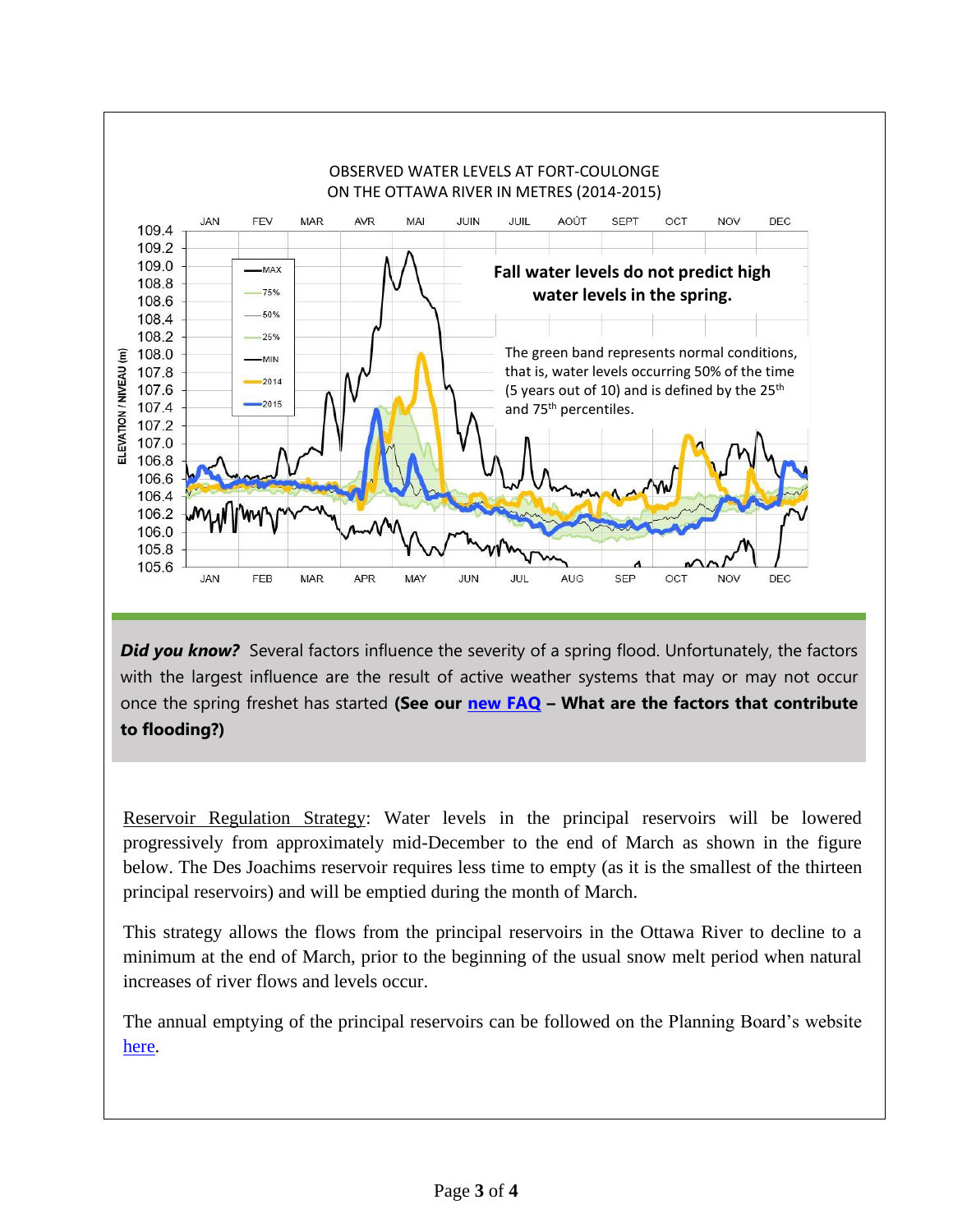

**Did you know?** Several factors influence the severity of a spring flood. Unfortunately, the factors with the largest influence are the result of active weather systems that may or may not occur once the spring freshet has started **(See our [new FAQ](http://ottawariver.ca/information/frequently-asked-questions/) – What are the factors that contribute to flooding?)**

Reservoir Regulation Strategy: Water levels in the principal reservoirs will be lowered progressively from approximately mid-December to the end of March as shown in the figure below. The Des Joachims reservoir requires less time to empty (as it is the smallest of the thirteen principal reservoirs) and will be emptied during the month of March.

This strategy allows the flows from the principal reservoirs in the Ottawa River to decline to a minimum at the end of March, prior to the beginning of the usual snow melt period when natural increases of river flows and levels occur.

The annual emptying of the principal reservoirs can be followed on the Planning Board's website [here.](http://ottawariver.ca/conditions/?display=reservoir)